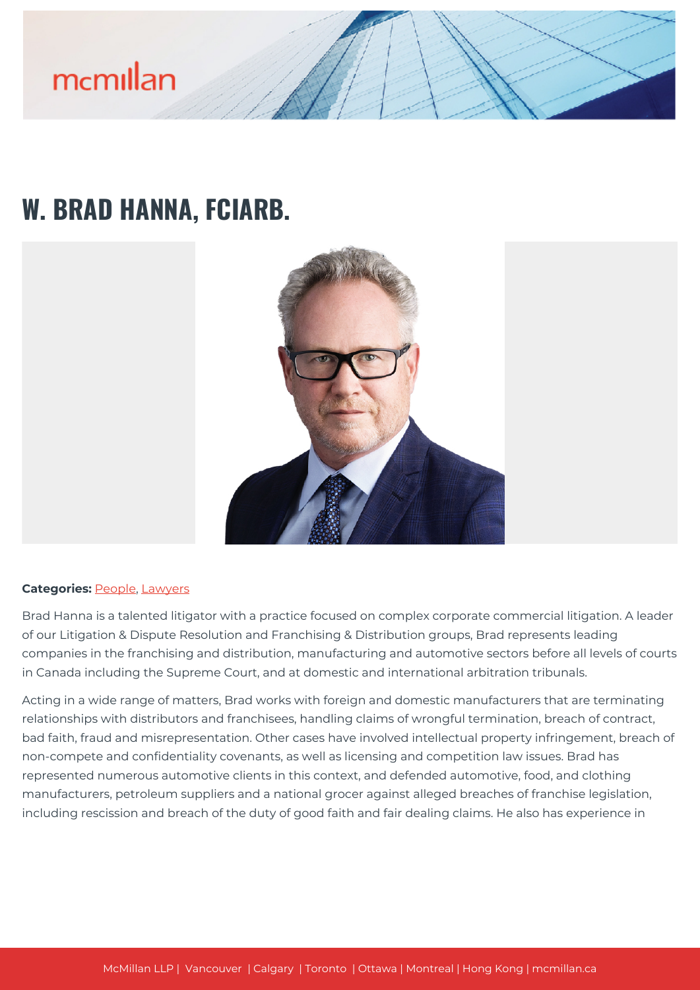## **W. BRAD HANNA, FCIARB.**



#### **Categories: [People,](https://mcmillan.ca/people/) [Lawyers](https://mcmillan.ca/people/lawyers/)**

Brad Hanna is a talented litigator with a practice focused on complex corporate commercial litigation. A leader of our Litigation & Dispute Resolution and Franchising & Distribution groups, Brad represents leading companies in the franchising and distribution, manufacturing and automotive sectors before all levels of courts in Canada including the Supreme Court, and at domestic and international arbitration tribunals.

Acting in a wide range of matters, Brad works with foreign and domestic manufacturers that are terminating relationships with distributors and franchisees, handling claims of wrongful termination, breach of contract, bad faith, fraud and misrepresentation. Other cases have involved intellectual property infringement, breach of non-compete and confidentiality covenants, as well as licensing and competition law issues. Brad has represented numerous automotive clients in this context, and defended automotive, food, and clothing manufacturers, petroleum suppliers and a national grocer against alleged breaches of franchise legislation, including rescission and breach of the duty of good faith and fair dealing claims. He also has experience in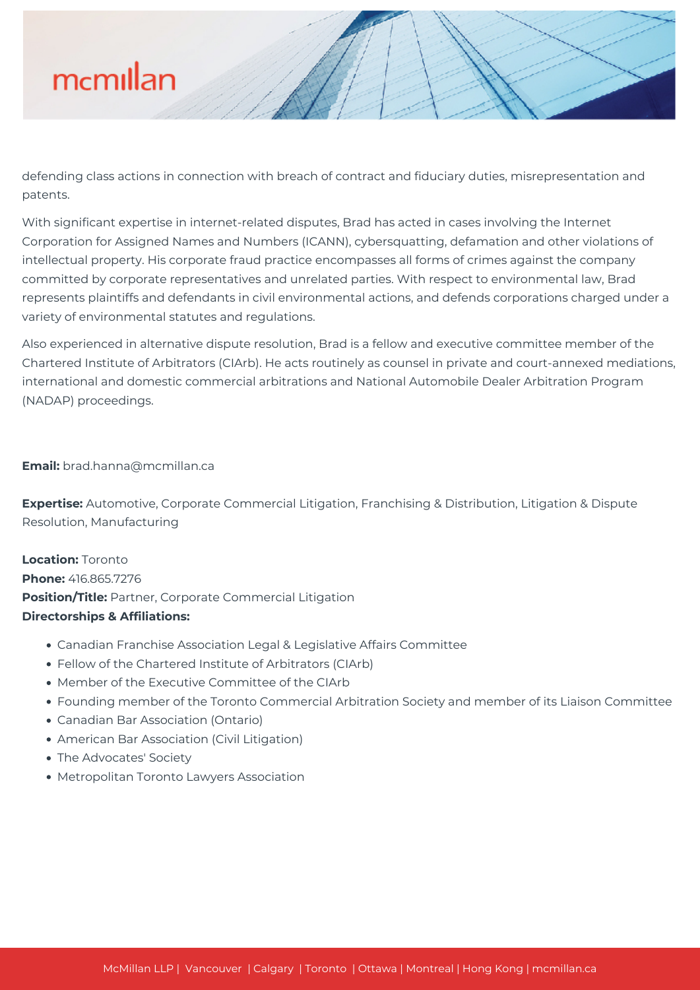

defending class actions in connection with breach of contract and fiduciary duties, misrepresentation and patents.

With significant expertise in internet-related disputes, Brad has acted in cases involving the Internet Corporation for Assigned Names and Numbers (ICANN), cybersquatting, defamation and other violations of intellectual property. His corporate fraud practice encompasses all forms of crimes against the company committed by corporate representatives and unrelated parties. With respect to environmental law, Brad represents plaintiffs and defendants in civil environmental actions, and defends corporations charged under a variety of environmental statutes and regulations.

Also experienced in alternative dispute resolution, Brad is a fellow and executive committee member of the Chartered Institute of Arbitrators (CIArb). He acts routinely as counsel in private and court-annexed mediations, international and domestic commercial arbitrations and National Automobile Dealer Arbitration Program (NADAP) proceedings.

#### **Email:** brad.hanna@mcmillan.ca

**Expertise:** Automotive, Corporate Commercial Litigation, Franchising & Distribution, Litigation & Dispute Resolution, Manufacturing

**Location:** Toronto **Phone:** 416.865.7276 **Position/Title:** Partner, Corporate Commercial Litigation **Directorships & Affiliations:**

- Canadian Franchise Association Legal & Legislative Affairs Committee
- Fellow of the Chartered Institute of Arbitrators (CIArb)
- Member of the Executive Committee of the CIArb
- Founding member of the Toronto Commercial Arbitration Society and member of its Liaison Committee
- Canadian Bar Association (Ontario)
- American Bar Association (Civil Litigation)
- The Advocates' Society
- Metropolitan Toronto Lawyers Association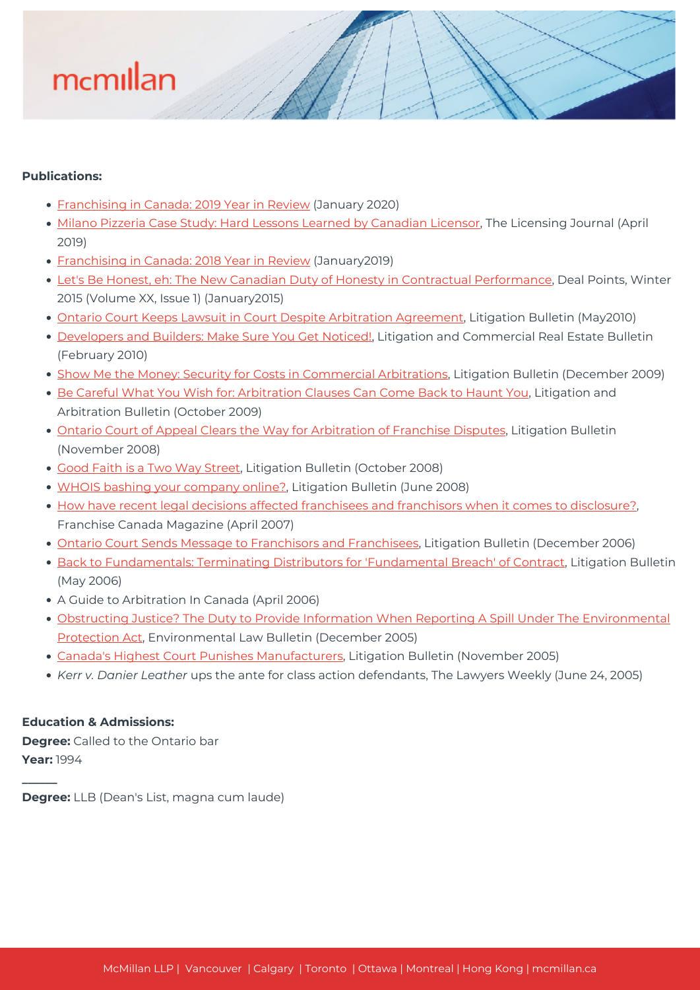### **Publications:**

- [Franchising in Canada: 2019 Year in Review](https://mcmillan.ca/wp-content/uploads/2020/07/Franchising-in-Canada-Year-in-Review-2019-1.pdf) (January 2020)
- [Milano Pizzeria Case Study: Hard Lessons Learned by Canadian Licensor](https://mcmillan.ca/wp-content/uploads/2020/07/Milano-Pizzeria-Case-Study-Hard-Lessons-Learned-by-Canadian-Licensor-1.pdf), The Licensing Journal (April 2019)
- [Franchising in Canada: 2018 Year in Review](https://mcmillan.ca/wp-content/uploads/2020/07/Franchising-in-Canada-Year-in-Review-2018.pdf) (January2019)
- [Let's Be Honest, eh: The New Canadian Duty of Honesty in Contractual Performance,](https://mcmillan.ca/fr/wp-content/uploads/sites/7/2020/07/Lets-Be-Honest-eh-Deal-Points.pdf) Deal Points, Winter 2015 (Volume XX, Issue 1) (January2015)
- [Ontario Court Keeps Lawsuit in Court Despite Arbitration Agreement](https://mcmillan.ca/wp-content/uploads/2020/07/StoneleighMotors_0510.pdf), Litigation Bulletin (May2010)
- **[Developers and Builders: Make Sure You Get Noticed!](https://mcmillan.ca/wp-content/uploads/2020/07/Developers-Builders_GetNoticed_0210.pdf), Litigation and Commercial Real Estate Bulletin** (February 2010)
- [Show Me the Money: Security for Costs in Commercial Arbitrations](https://mcmillan.ca/wp-content/uploads/2020/07/ShowMeTheMoney_1209.pdf), Litigation Bulletin (December 2009)
- **[Be Careful What You Wish for: Arbitration Clauses Can Come Back to Haunt You,](https://mcmillan.ca/wp-content/uploads/2020/07/Be_Careful_What_You_Wish_For_1009.pdf) Litigation and** Arbitration Bulletin (October 2009)
- [Ontario Court of Appeal Clears the Way for Arbitration of Franchise Disputes](https://mcmillan.ca/wp-content/uploads/2020/07/FranchiseDisputes_1108.pdf), Litigation Bulletin (November 2008)
- [Good Faith is a Two Way Street](https://mcmillan.ca/wp-content/uploads/2020/07/GoodFaithIsATwoWayStreet_1008.pdf), Litigation Bulletin (October 2008)
- [WHOIS bashing your company online?](https://mcmillan.ca/fr/wp-content/uploads/sites/7/2020/07/WhoisBashing_0608.pdf), Litigation Bulletin (June 2008)
- [How have recent legal decisions affected franchisees and franchisors when it comes to disclosure?,](https://mcmillan.ca/wp-content/uploads/2020/07/ECowling_BHanna_LegalDecisions_Franchise.pdf) Franchise Canada Magazine (April 2007)
- [Ontario Court Sends Message to Franchisors and Franchisees](https://mcmillan.ca/wp-content/uploads/2020/07/Franchisors-Franchisees_1206.pdf), Litigation Bulletin (December 2006)
- **[Back to Fundamentals: Terminating Distributors for 'Fundamental Breach' of Contract,](https://mcmillan.ca/wp-content/uploads/2020/07/Back-to-Fundamentals_0506.pdf) Litigation Bulletin** (May 2006)
- A Guide to Arbitration In Canada (April 2006)
- [Obstructing Justice? The Duty to Provide Information When Reporting A Spill Under The Environmental](https://mcmillan.ca/wp-content/uploads/2020/07/Greenmail_Newsletter_1205.pdf) [Protection Act](https://mcmillan.ca/wp-content/uploads/2020/07/Greenmail_Newsletter_1205.pdf), Environmental Law Bulletin (December 2005)
- [Canada's Highest Court Punishes Manufacturers,](https://mcmillan.ca/wp-content/uploads/2020/07/CourtPunishesManufacturers_1105.pdf) Litigation Bulletin (November 2005)
- *Kerr v. Danier Leather* ups the ante for class action defendants, The Lawyers Weekly (June 24, 2005)

### **Education & Admissions:**

**\_\_\_\_\_\_**

**Degree:** Called to the Ontario bar **Year:** 1994

**Degree:** LLB (Dean's List, magna cum laude)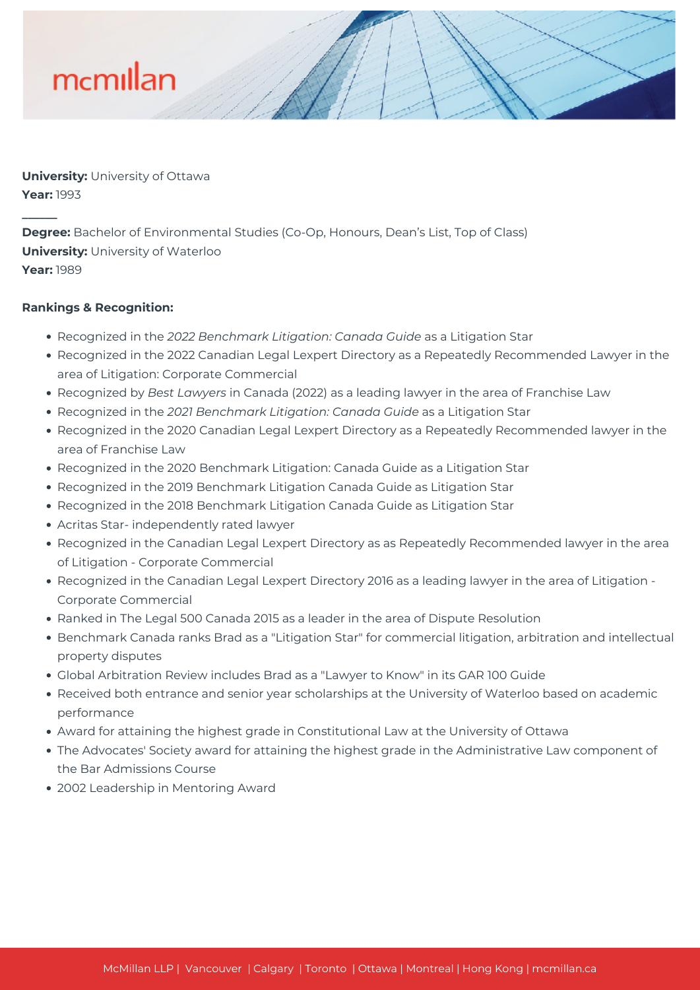**University:** University of Ottawa **Year:** 1993

**Degree:** Bachelor of Environmental Studies (Co-Op, Honours, Dean's List, Top of Class) **University:** University of Waterloo **Year:** 1989

### **Rankings & Recognition:**

**\_\_\_\_\_\_**

- Recognized in the *2022 Benchmark Litigation: Canada Guide* as a Litigation Star
- Recognized in the 2022 Canadian Legal Lexpert Directory as a Repeatedly Recommended Lawyer in the area of Litigation: Corporate Commercial
- Recognized by *Best Lawyers* in Canada (2022) as a leading lawyer in the area of Franchise Law
- Recognized in the *2021 Benchmark Litigation: Canada Guide* as a Litigation Star
- Recognized in the 2020 Canadian Legal Lexpert Directory as a Repeatedly Recommended lawyer in the area of Franchise Law
- Recognized in the 2020 Benchmark Litigation: Canada Guide as a Litigation Star
- Recognized in the 2019 Benchmark Litigation Canada Guide as Litigation Star
- Recognized in the 2018 Benchmark Litigation Canada Guide as Litigation Star
- Acritas Star- independently rated lawyer
- Recognized in the Canadian Legal Lexpert Directory as as Repeatedly Recommended lawyer in the area of Litigation - Corporate Commercial
- Recognized in the Canadian Legal Lexpert Directory 2016 as a leading lawyer in the area of Litigation -Corporate Commercial
- Ranked in The Legal 500 Canada 2015 as a leader in the area of Dispute Resolution
- Benchmark Canada ranks Brad as a "Litigation Star" for commercial litigation, arbitration and intellectual property disputes
- Global Arbitration Review includes Brad as a "Lawyer to Know" in its GAR 100 Guide
- Received both entrance and senior year scholarships at the University of Waterloo based on academic performance
- Award for attaining the highest grade in Constitutional Law at the University of Ottawa
- The Advocates' Society award for attaining the highest grade in the Administrative Law component of the Bar Admissions Course
- 2002 Leadership in Mentoring Award